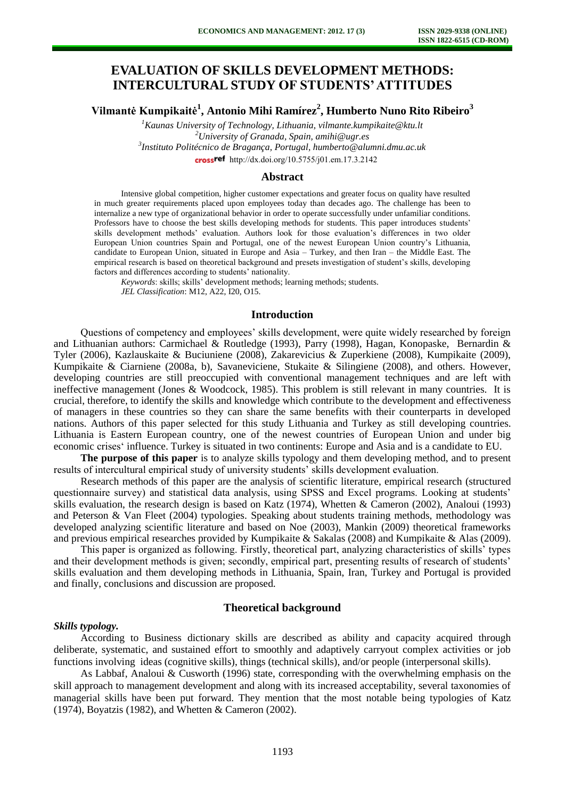# **EVALUATION OF SKILLS DEVELOPMENT METHODS: INTERCULTURAL STUDY OF STUDENTS' ATTITUDES**

**Vilmantė Kumpikaitė<sup>1</sup> , Antonio Mihi Ramírez<sup>2</sup> , Humberto Nuno Rito Ribeiro<sup>3</sup>**

*Kaunas University of Technology, Lithuania, vilmante.kumpikaite@ktu.lt University of Granada, Spain, amihi@ugr.es Instituto Politécnico de Bragança, Portugal, humberto@alumni.dmu.ac.uk* crossref [http://dx.doi.org/10.5755/j01.e](http://dx.doi.org/10.5755/j01.em.17.3.2142)m.17.3.2142

### **Abstract**

Intensive global competition, higher customer expectations and greater focus on quality have resulted in much greater requirements placed upon employees today than decades ago. The challenge has been to internalize a new type of organizational behavior in order to operate successfully under unfamiliar conditions. Professors have to choose the best skills developing methods for students. This paper introduces students' skills development methods' evaluation. Authors look for those evaluation's differences in two older European Union countries Spain and Portugal, one of the newest European Union country's Lithuania, candidate to European Union, situated in Europe and Asia – Turkey, and then Iran – the Middle East. The empirical research is based on theoretical background and presets investigation of student's skills, developing factors and differences according to students' nationality.

*Keywords*: skills; skills' development methods; learning methods; students. *JEL Classification*: M12, A22, I20, O15.

### **Introduction**

Questions of competency and employees' skills development, were quite widely researched by foreign and Lithuanian authors: Carmichael & Routledge (1993), Parry (1998), Hagan, Konopaske, Bernardin & Tyler (2006), Kazlauskaite & Buciuniene (2008), Zakarevicius & Zuperkiene (2008), Kumpikaite (2009), Kumpikaite & Ciarniene (2008a, b), Savaneviciene, Stukaite & Silingiene (2008), and others. However, developing countries are still preoccupied with conventional management techniques and are left with ineffective management (Jones & Woodcock, 1985). This problem is still relevant in many countries. It is crucial, therefore, to identify the skills and knowledge which contribute to the development and effectiveness of managers in these countries so they can share the same benefits with their counterparts in developed nations. Authors of this paper selected for this study Lithuania and Turkey as still developing countries. Lithuania is Eastern European country, one of the newest countries of European Union and under big economic crises' influence. Turkey is situated in two continents: Europe and Asia and is a candidate to EU.

**The purpose of this paper** is to analyze skills typology and them developing method, and to present results of intercultural empirical study of university students' skills development evaluation.

Research methods of this paper are the analysis of scientific literature, empirical research (structured questionnaire survey) and statistical data analysis, using SPSS and Excel programs. Looking at students' skills evaluation, the research design is based on Katz (1974), Whetten & Cameron (2002), Analoui (1993) and Peterson & Van Fleet (2004) typologies. Speaking about students training methods, methodology was developed analyzing scientific literature and based on Noe (2003), Mankin (2009) theoretical frameworks and previous empirical researches provided by Kumpikaite & Sakalas (2008) and Kumpikaite & Alas (2009).

This paper is organized as following. Firstly, theoretical part, analyzing characteristics of skills' types and their development methods is given; secondly, empirical part, presenting results of research of students' skills evaluation and them developing methods in Lithuania, Spain, Iran, Turkey and Portugal is provided and finally, conclusions and discussion are proposed.

# **Theoretical background**

#### *Skills typology.*

According to Business dictionary skills are described as ability and capacity acquired through deliberate, systematic, and sustained effort to smoothly and adaptively carryout complex activities or job functions involving ideas (cognitive skills), things (technical skills), and/or people (interpersonal skills).

As Labbaf, Analoui & Cusworth (1996) state, corresponding with the overwhelming emphasis on the skill approach to management development and along with its increased acceptability, several taxonomies of managerial skills have been put forward. They mention that the most notable being typologies of Katz (1974), Boyatzis (1982), and Whetten & Cameron (2002).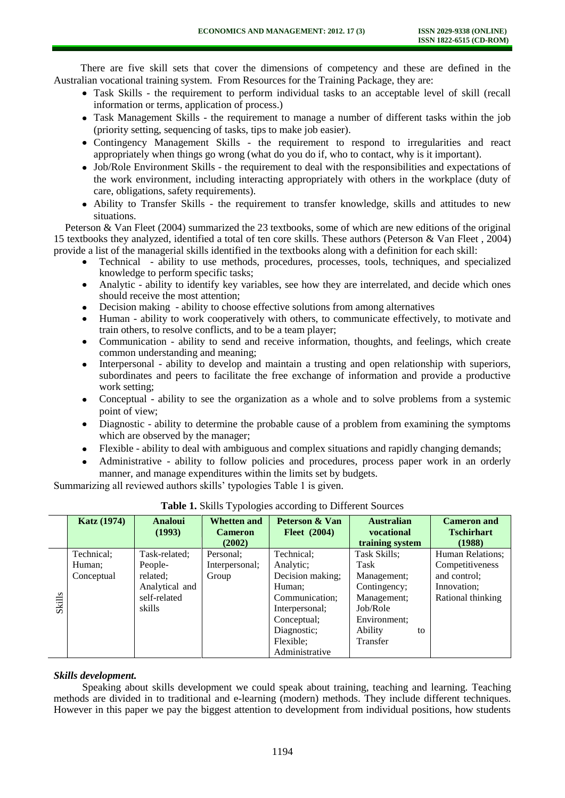There are five skill sets that cover the dimensions of competency and these are defined in the Australian vocational training system. From Resources for the Training Package, they are:

- Task Skills the requirement to perform individual tasks to an acceptable level of skill (recall information or terms, application of process.)
- Task Management Skills the requirement to manage a number of different tasks within the job (priority setting, sequencing of tasks, tips to make job easier).
- Contingency Management Skills the requirement to respond to irregularities and react appropriately when things go wrong (what do you do if, who to contact, why is it important).
- Job/Role Environment Skills the requirement to deal with the responsibilities and expectations of the work environment, including interacting appropriately with others in the workplace (duty of care, obligations, safety requirements).
- Ability to Transfer Skills the requirement to transfer knowledge, skills and attitudes to new situations.

Peterson & Van Fleet (2004) summarized the 23 textbooks, some of which are new editions of the original 15 textbooks they analyzed, identified a total of ten core skills. These authors (Peterson & Van Fleet , 2004) provide a list of the managerial skills identified in the textbooks along with a definition for each skill:

- Technical ability to use methods, procedures, processes, tools, techniques, and specialized knowledge to perform specific tasks;
- Analytic ability to identify key variables, see how they are interrelated, and decide which ones should receive the most attention;
- Decision making ability to choose effective solutions from among alternatives
- Human ability to work cooperatively with others, to communicate effectively, to motivate and train others, to resolve conflicts, and to be a team player;
- Communication ability to send and receive information, thoughts, and feelings, which create  $\bullet$ common understanding and meaning;
- Interpersonal ability to develop and maintain a trusting and open relationship with superiors, subordinates and peers to facilitate the free exchange of information and provide a productive work setting;
- Conceptual ability to see the organization as a whole and to solve problems from a systemic  $\bullet$ point of view;
- Diagnostic ability to determine the probable cause of a problem from examining the symptoms  $\bullet$ which are observed by the manager;
- Flexible ability to deal with ambiguous and complex situations and rapidly changing demands;
- Administrative ability to follow policies and procedures, process paper work in an orderly manner, and manage expenditures within the limits set by budgets.

Summarizing all reviewed authors skills' typologies Table 1 is given.

|               | <b>Katz</b> (1974) | <b>Analoui</b><br>(1993) | <b>Whetten and</b><br><b>Cameron</b><br>(2002) | Peterson & Van<br>Fleet $(2004)$ | <b>Australian</b><br>vocational<br>training system | <b>Cameron</b> and<br><b>Tschirhart</b><br>(1988) |
|---------------|--------------------|--------------------------|------------------------------------------------|----------------------------------|----------------------------------------------------|---------------------------------------------------|
|               |                    |                          |                                                |                                  |                                                    |                                                   |
|               | Technical;         | Task-related;            | Personal:                                      | Technical;                       | Task Skills;                                       | Human Relations;                                  |
|               | Human;             | People-                  | Interpersonal;                                 | Analytic;                        | Task                                               | Competitiveness                                   |
|               | Conceptual         | related;                 | Group                                          | Decision making;                 | Management;                                        | and control;                                      |
|               |                    | Analytical and           |                                                | Human;                           | Contingency;                                       | Innovation;                                       |
| <b>Skills</b> |                    | self-related             |                                                | Communication;                   | Management;                                        | Rational thinking                                 |
|               |                    | skills                   |                                                | Interpersonal;                   | Job/Role                                           |                                                   |
|               |                    |                          |                                                | Conceptual;                      | Environment:                                       |                                                   |
|               |                    |                          |                                                | Diagnostic;                      | Ability<br>to                                      |                                                   |
|               |                    |                          |                                                | Flexible;                        | Transfer                                           |                                                   |
|               |                    |                          |                                                | Administrative                   |                                                    |                                                   |

**Table 1.** Skills Typologies according to Different Sources

# *Skills development.*

Speaking about skills development we could speak about training, teaching and learning. Teaching methods are divided in to traditional and e-learning (modern) methods. They include different techniques. However in this paper we pay the biggest attention to development from individual positions, how students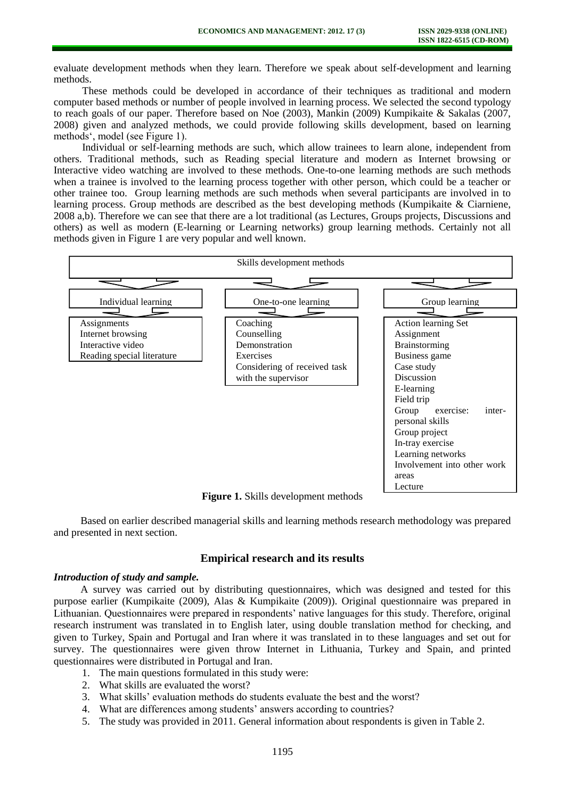evaluate development methods when they learn. Therefore we speak about self-development and learning methods.

These methods could be developed in accordance of their techniques as traditional and modern computer based methods or number of people involved in learning process. We selected the second typology to reach goals of our paper. Therefore based on Noe (2003), Mankin (2009) Kumpikaite & Sakalas (2007, 2008) given and analyzed methods, we could provide following skills development, based on learning methods', model (see Figure 1).

Individual or self-learning methods are such, which allow trainees to learn alone, independent from others. Traditional methods, such as Reading special literature and modern as Internet browsing or Interactive video watching are involved to these methods. One-to-one learning methods are such methods when a trainee is involved to the learning process together with other person, which could be a teacher or other trainee too. Group learning methods are such methods when several participants are involved in to learning process. Group methods are described as the best developing methods (Kumpikaite & Ciarniene, 2008 a,b). Therefore we can see that there are a lot traditional (as Lectures, Groups projects, Discussions and others) as well as modern (E-learning or Learning networks) group learning methods. Certainly not all methods given in Figure 1 are very popular and well known.



**Figure 1.** Skills development methods

Based on earlier described managerial skills and learning methods research methodology was prepared and presented in next section.

## **Empirical research and its results**

# *Introduction of study and sample.*

A survey was carried out by distributing questionnaires, which was designed and tested for this purpose earlier (Kumpikaite (2009), Alas & Kumpikaite (2009)). Original questionnaire was prepared in Lithuanian. Questionnaires were prepared in respondents' native languages for this study. Therefore, original research instrument was translated in to English later, using double translation method for checking, and given to Turkey, Spain and Portugal and Iran where it was translated in to these languages and set out for survey. The questionnaires were given throw Internet in Lithuania, Turkey and Spain, and printed questionnaires were distributed in Portugal and Iran.

- 1. The main questions formulated in this study were:
- 2. What skills are evaluated the worst?
- 3. What skills' evaluation methods do students evaluate the best and the worst?
- 4. What are differences among students' answers according to countries?
- 5. The study was provided in 2011. General information about respondents is given in Table 2.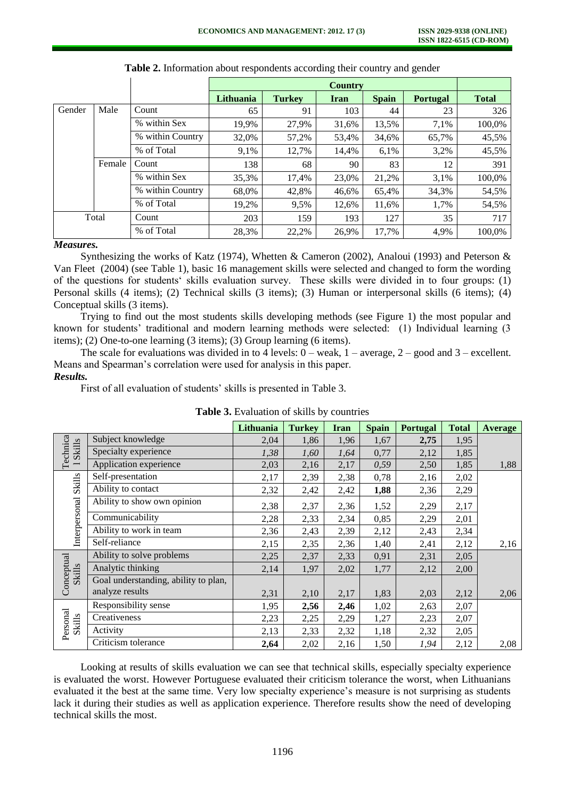|        |        |                  | Lithuania | <b>Turkey</b> | <b>Iran</b> | <b>Spain</b> | <b>Portugal</b> | <b>Total</b> |
|--------|--------|------------------|-----------|---------------|-------------|--------------|-----------------|--------------|
| Gender | Male   | Count            | 65        | 91            | 103         | 44           | 23              | 326          |
|        |        | % within Sex     | 19,9%     | 27,9%         | 31,6%       | 13,5%        | 7,1%            | 100,0%       |
|        |        | % within Country | 32,0%     | 57,2%         | 53,4%       | 34,6%        | 65,7%           | 45,5%        |
|        |        | % of Total       | 9,1%      | 12,7%         | 14,4%       | 6,1%         | 3,2%            | 45,5%        |
|        | Female | Count            | 138       | 68            | 90          | 83           | 12              | 391          |
|        |        | % within Sex     | 35,3%     | 17,4%         | 23,0%       | 21,2%        | 3,1%            | 100,0%       |
|        |        | % within Country | 68,0%     | 42,8%         | 46,6%       | 65,4%        | 34,3%           | 54,5%        |
|        |        | % of Total       | 19.2%     | 9,5%          | 12.6%       | 11,6%        | 1,7%            | 54,5%        |
| Total  |        | Count            | 203       | 159           | 193         | 127          | 35              | 717          |
|        |        | % of Total       | 28,3%     | 22,2%         | 26,9%       | 17,7%        | 4,9%            | 100,0%       |

**Table 2.** Information about respondents according their country and gender

## *Measures.*

Synthesizing the works of Katz (1974), Whetten & Cameron (2002), Analoui (1993) and Peterson & Van Fleet (2004) (see Table 1), basic 16 management skills were selected and changed to form the wording of the questions for students' skills evaluation survey. These skills were divided in to four groups: (1) Personal skills (4 items); (2) Technical skills (3 items); (3) Human or interpersonal skills (6 items); (4) Conceptual skills (3 items).

Trying to find out the most students skills developing methods (see Figure 1) the most popular and known for students' traditional and modern learning methods were selected: (1) Individual learning (3 items); (2) One-to-one learning (3 items); (3) Group learning (6 items).

The scale for evaluations was divided in to 4 levels:  $0$  – weak,  $1$  – average,  $2$  – good and  $3$  – excellent. Means and Spearman's correlation were used for analysis in this paper.

## *Results.*

First of all evaluation of students' skills is presented in Table 3.

|                      |                                      | Lithuania | <b>Turkey</b> | Iran | <b>Spain</b> | <b>Portugal</b> | <b>Total</b> | Average |
|----------------------|--------------------------------------|-----------|---------------|------|--------------|-----------------|--------------|---------|
| Technica<br>Skills   | Subject knowledge                    | 2,04      | 1,86          | 1,96 | 1,67         | 2,75            | 1,95         |         |
|                      | Specialty experience                 | 1,38      | 1,60          | 1,64 | 0,77         | 2,12            | 1,85         |         |
|                      | Application experience               | 2,03      | 2,16          | 2,17 | 0,59         | 2,50            | 1,85         | 1,88    |
|                      | Self-presentation                    | 2,17      | 2,39          | 2,38 | 0,78         | 2,16            | 2,02         |         |
| <b>Skills</b>        | Ability to contact                   | 2,32      | 2,42          | 2,42 | 1,88         | 2,36            | 2,29         |         |
|                      | Ability to show own opinion          | 2,38      | 2,37          | 2,36 | 1,52         | 2,29            | 2,17         |         |
|                      | Communicability                      | 2,28      | 2,33          | 2,34 | 0,85         | 2,29            | 2,01         |         |
| Interpersonal        | Ability to work in team              | 2,36      | 2,43          | 2,39 | 2,12         | 2,43            | 2,34         |         |
|                      | Self-reliance                        | 2,15      | 2,35          | 2,36 | 1,40         | 2,41            | 2,12         | 2,16    |
| Conceptual<br>Skills | Ability to solve problems            | 2,25      | 2,37          | 2,33 | 0,91         | 2,31            | 2,05         |         |
|                      | Analytic thinking                    | 2,14      | 1,97          | 2,02 | 1,77         | 2,12            | 2,00         |         |
|                      | Goal understanding, ability to plan, |           |               |      |              |                 |              |         |
|                      | analyze results                      | 2,31      | 2,10          | 2,17 | 1,83         | 2,03            | 2,12         | 2,06    |
| Personal<br>Skills   | Responsibility sense                 | 1,95      | 2,56          | 2,46 | 1,02         | 2,63            | 2,07         |         |
|                      | Creativeness                         | 2,23      | 2,25          | 2,29 | 1,27         | 2,23            | 2,07         |         |
|                      | Activity                             | 2,13      | 2,33          | 2,32 | 1,18         | 2,32            | 2,05         |         |
|                      | Criticism tolerance                  | 2,64      | 2,02          | 2,16 | 1,50         | 1,94            | 2,12         | 2,08    |

**Table 3.** Evaluation of skills by countries

Looking at results of skills evaluation we can see that technical skills, especially specialty experience is evaluated the worst. However Portuguese evaluated their criticism tolerance the worst, when Lithuanians evaluated it the best at the same time. Very low specialty experience's measure is not surprising as students lack it during their studies as well as application experience. Therefore results show the need of developing technical skills the most.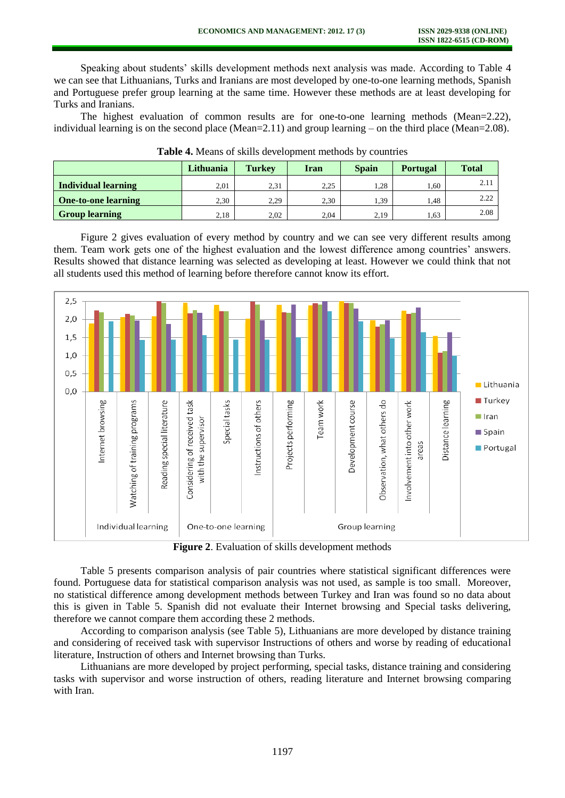Speaking about students' skills development methods next analysis was made. According to Table 4 we can see that Lithuanians, Turks and Iranians are most developed by one-to-one learning methods, Spanish and Portuguese prefer group learning at the same time. However these methods are at least developing for Turks and Iranians.

The highest evaluation of common results are for one-to-one learning methods (Mean=2.22), individual learning is on the second place (Mean=2.11) and group learning – on the third place (Mean=2.08).

|                            | Lithuania | <b>Turkey</b> | Iran | <b>Spain</b> | <b>Portugal</b> | <b>Total</b> |
|----------------------------|-----------|---------------|------|--------------|-----------------|--------------|
| <b>Individual learning</b> | 2,01      | 2.31          | 2.25 | 1.28         | 1,60            | 2.11         |
| <b>One-to-one learning</b> | 2.30      | 2.29          | 2.30 | 1.39         | 1.48            | 2.22         |
| <b>Group learning</b>      | 2,18      | 2,02          | 2,04 | 2,19         | 1,63            | 2.08         |

**Table 4.** Means of skills development methods by countries

Figure 2 gives evaluation of every method by country and we can see very different results among them. Team work gets one of the highest evaluation and the lowest difference among countries' answers. Results showed that distance learning was selected as developing at least. However we could think that not all students used this method of learning before therefore cannot know its effort.



**Figure 2**. Evaluation of skills development methods

Table 5 presents comparison analysis of pair countries where statistical significant differences were found. Portuguese data for statistical comparison analysis was not used, as sample is too small. Moreover, no statistical difference among development methods between Turkey and Iran was found so no data about this is given in Table 5. Spanish did not evaluate their Internet browsing and Special tasks delivering, therefore we cannot compare them according these 2 methods.

According to comparison analysis (see Table 5), Lithuanians are more developed by distance training and considering of received task with supervisor Instructions of others and worse by reading of educational literature, Instruction of others and Internet browsing than Turks.

Lithuanians are more developed by project performing, special tasks, distance training and considering tasks with supervisor and worse instruction of others, reading literature and Internet browsing comparing with Iran.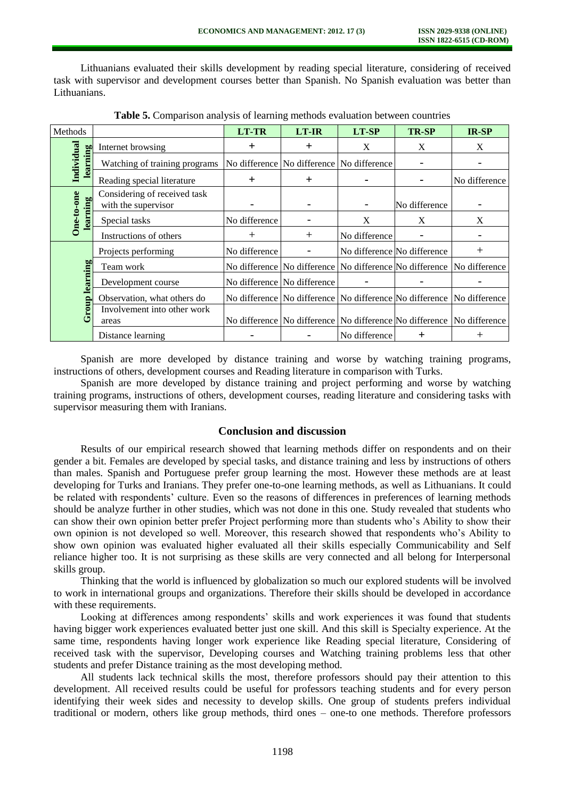Lithuanians evaluated their skills development by reading special literature, considering of received task with supervisor and development courses better than Spanish. No Spanish evaluation was better than Lithuanians.

| Methods                |                                                     | <b>LT-TR</b>  | <b>LT-IR</b>                                                                  | LT-SP         | <b>TR-SP</b>                | IR-SP                                                                 |
|------------------------|-----------------------------------------------------|---------------|-------------------------------------------------------------------------------|---------------|-----------------------------|-----------------------------------------------------------------------|
|                        | Internet browsing                                   | $\div$        | $\pm$                                                                         | X             | X                           | X                                                                     |
| Individual<br>learning | Watching of training programs                       |               | No difference No difference No difference                                     |               |                             |                                                                       |
|                        | Reading special literature                          | $^{+}$        | $\div$                                                                        |               |                             | No difference                                                         |
| One-to-one<br>learning | Considering of received task<br>with the supervisor |               |                                                                               |               | No difference               |                                                                       |
|                        | Special tasks                                       | No difference |                                                                               | X             | X                           | X                                                                     |
|                        | Instructions of others                              | $^{+}$        | $+$                                                                           | No difference | -                           |                                                                       |
|                        | Projects performing                                 | No difference |                                                                               |               | No difference No difference | $\,+\,$                                                               |
|                        | Team work                                           |               | No difference   No difference   No difference   No difference   No difference |               |                             |                                                                       |
| learning               | Development course                                  |               | No difference No difference                                                   |               |                             |                                                                       |
|                        | Observation, what others do                         |               | No difference   No difference   No difference   No difference   No difference |               |                             |                                                                       |
| Group                  | Involvement into other work<br>areas                |               |                                                                               |               |                             | No difference No difference No difference No difference No difference |
|                        | Distance learning                                   |               |                                                                               | No difference | $\pm$                       | $^+$                                                                  |

**Table 5.** Comparison analysis of learning methods evaluation between countries

Spanish are more developed by distance training and worse by watching training programs, instructions of others, development courses and Reading literature in comparison with Turks.

Spanish are more developed by distance training and project performing and worse by watching training programs, instructions of others, development courses, reading literature and considering tasks with supervisor measuring them with Iranians.

# **Conclusion and discussion**

Results of our empirical research showed that learning methods differ on respondents and on their gender a bit. Females are developed by special tasks, and distance training and less by instructions of others than males. Spanish and Portuguese prefer group learning the most. However these methods are at least developing for Turks and Iranians. They prefer one-to-one learning methods, as well as Lithuanians. It could be related with respondents' culture. Even so the reasons of differences in preferences of learning methods should be analyze further in other studies, which was not done in this one. Study revealed that students who can show their own opinion better prefer Project performing more than students who's Ability to show their own opinion is not developed so well. Moreover, this research showed that respondents who's Ability to show own opinion was evaluated higher evaluated all their skills especially Communicability and Self reliance higher too. It is not surprising as these skills are very connected and all belong for Interpersonal skills group.

Thinking that the world is influenced by globalization so much our explored students will be involved to work in international groups and organizations. Therefore their skills should be developed in accordance with these requirements.

Looking at differences among respondents' skills and work experiences it was found that students having bigger work experiences evaluated better just one skill. And this skill is Specialty experience. At the same time, respondents having longer work experience like Reading special literature, Considering of received task with the supervisor, Developing courses and Watching training problems less that other students and prefer Distance training as the most developing method.

All students lack technical skills the most, therefore professors should pay their attention to this development. All received results could be useful for professors teaching students and for every person identifying their week sides and necessity to develop skills. One group of students prefers individual traditional or modern, others like group methods, third ones – one-to one methods. Therefore professors